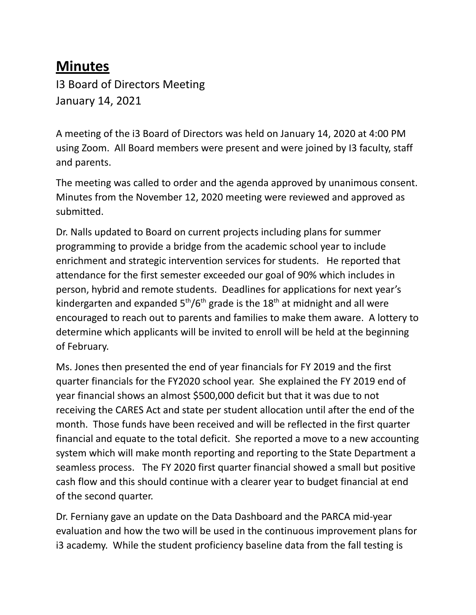## **Minutes**

I3 Board of Directors Meeting January 14, 2021

A meeting of the i3 Board of Directors was held on January 14, 2020 at 4:00 PM using Zoom. All Board members were present and were joined by I3 faculty, staff and parents.

The meeting was called to order and the agenda approved by unanimous consent. Minutes from the November 12, 2020 meeting were reviewed and approved as submitted.

Dr. Nalls updated to Board on current projects including plans for summer programming to provide a bridge from the academic school year to include enrichment and strategic intervention services for students. He reported that attendance for the first semester exceeded our goal of 90% which includes in person, hybrid and remote students. Deadlines for applications for next year's kindergarten and expanded  $5<sup>th</sup>/6<sup>th</sup>$  grade is the 18<sup>th</sup> at midnight and all were encouraged to reach out to parents and families to make them aware. A lottery to determine which applicants will be invited to enroll will be held at the beginning of February.

Ms. Jones then presented the end of year financials for FY 2019 and the first quarter financials for the FY2020 school year. She explained the FY 2019 end of year financial shows an almost \$500,000 deficit but that it was due to not receiving the CARES Act and state per student allocation until after the end of the month. Those funds have been received and will be reflected in the first quarter financial and equate to the total deficit. She reported a move to a new accounting system which will make month reporting and reporting to the State Department a seamless process. The FY 2020 first quarter financial showed a small but positive cash flow and this should continue with a clearer year to budget financial at end of the second quarter.

Dr. Ferniany gave an update on the Data Dashboard and the PARCA mid-year evaluation and how the two will be used in the continuous improvement plans for i3 academy. While the student proficiency baseline data from the fall testing is